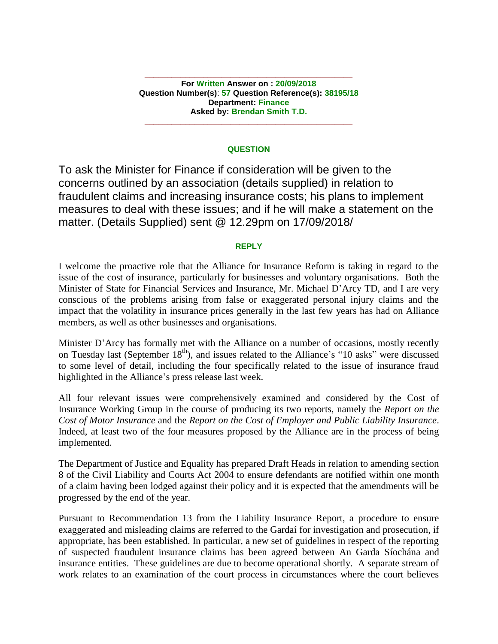**For Written Answer on : 20/09/2018 Question Number(s)**: **57 Question Reference(s): 38195/18 Department: Finance Asked by: Brendan Smith T.D.**

**\_\_\_\_\_\_\_\_\_\_\_\_\_\_\_\_\_\_\_\_\_\_\_\_\_\_\_\_\_\_\_\_\_\_\_\_\_\_\_\_\_\_\_\_\_\_**

### **QUESTION**

**\_\_\_\_\_\_\_\_\_\_\_\_\_\_\_\_\_\_\_\_\_\_\_\_\_\_\_\_\_\_\_\_\_\_\_\_\_\_\_\_\_\_\_\_\_\_**

To ask the Minister for Finance if consideration will be given to the concerns outlined by an association (details supplied) in relation to fraudulent claims and increasing insurance costs; his plans to implement measures to deal with these issues; and if he will make a statement on the matter. (Details Supplied) sent @ 12.29pm on 17/09/2018/

#### **REPLY**

I welcome the proactive role that the Alliance for Insurance Reform is taking in regard to the issue of the cost of insurance, particularly for businesses and voluntary organisations. Both the Minister of State for Financial Services and Insurance, Mr. Michael D'Arcy TD, and I are very conscious of the problems arising from false or exaggerated personal injury claims and the impact that the volatility in insurance prices generally in the last few years has had on Alliance members, as well as other businesses and organisations.

Minister D'Arcy has formally met with the Alliance on a number of occasions, mostly recently on Tuesday last (September  $18<sup>th</sup>$ ), and issues related to the Alliance's "10 asks" were discussed to some level of detail, including the four specifically related to the issue of insurance fraud highlighted in the Alliance's press release last week.

All four relevant issues were comprehensively examined and considered by the Cost of Insurance Working Group in the course of producing its two reports, namely the *Report on the Cost of Motor Insurance* and the *Report on the Cost of Employer and Public Liability Insurance*. Indeed, at least two of the four measures proposed by the Alliance are in the process of being implemented.

The Department of Justice and Equality has prepared Draft Heads in relation to amending section 8 of the Civil Liability and Courts Act 2004 to ensure defendants are notified within one month of a claim having been lodged against their policy and it is expected that the amendments will be progressed by the end of the year.

Pursuant to Recommendation 13 from the Liability Insurance Report, a procedure to ensure exaggerated and misleading claims are referred to the Gardaí for investigation and prosecution, if appropriate, has been established. In particular, a new set of guidelines in respect of the reporting of suspected fraudulent insurance claims has been agreed between An Garda Síochána and insurance entities. These guidelines are due to become operational shortly. A separate stream of work relates to an examination of the court process in circumstances where the court believes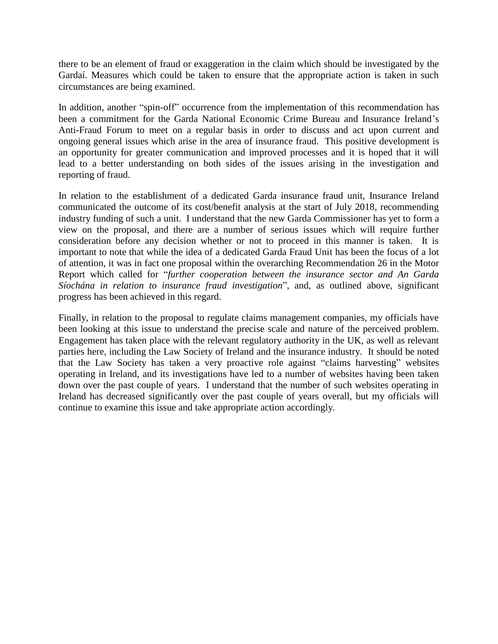there to be an element of fraud or exaggeration in the claim which should be investigated by the Gardaí. Measures which could be taken to ensure that the appropriate action is taken in such circumstances are being examined.

In addition, another "spin-off" occurrence from the implementation of this recommendation has been a commitment for the Garda National Economic Crime Bureau and Insurance Ireland's Anti-Fraud Forum to meet on a regular basis in order to discuss and act upon current and ongoing general issues which arise in the area of insurance fraud. This positive development is an opportunity for greater communication and improved processes and it is hoped that it will lead to a better understanding on both sides of the issues arising in the investigation and reporting of fraud.

In relation to the establishment of a dedicated Garda insurance fraud unit, Insurance Ireland communicated the outcome of its cost/benefit analysis at the start of July 2018, recommending industry funding of such a unit. I understand that the new Garda Commissioner has yet to form a view on the proposal, and there are a number of serious issues which will require further consideration before any decision whether or not to proceed in this manner is taken. It is important to note that while the idea of a dedicated Garda Fraud Unit has been the focus of a lot of attention, it was in fact one proposal within the overarching Recommendation 26 in the Motor Report which called for "*further cooperation between the insurance sector and An Garda Síochána in relation to insurance fraud investigation*", and, as outlined above, significant progress has been achieved in this regard.

Finally, in relation to the proposal to regulate claims management companies, my officials have been looking at this issue to understand the precise scale and nature of the perceived problem. Engagement has taken place with the relevant regulatory authority in the UK, as well as relevant parties here, including the Law Society of Ireland and the insurance industry. It should be noted that the Law Society has taken a very proactive role against "claims harvesting" websites operating in Ireland, and its investigations have led to a number of websites having been taken down over the past couple of years. I understand that the number of such websites operating in Ireland has decreased significantly over the past couple of years overall, but my officials will continue to examine this issue and take appropriate action accordingly.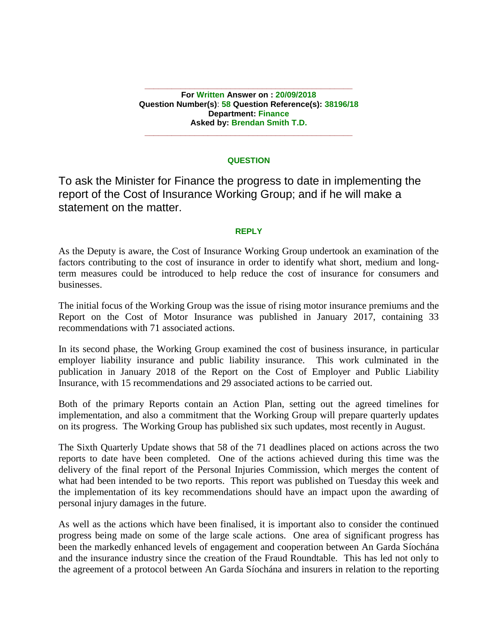**\_\_\_\_\_\_\_\_\_\_\_\_\_\_\_\_\_\_\_\_\_\_\_\_\_\_\_\_\_\_\_\_\_\_\_\_\_\_\_\_\_\_\_\_\_\_ For Written Answer on : 20/09/2018 Question Number(s)**: **58 Question Reference(s): 38196/18 Department: Finance Asked by: Brendan Smith T.D.**

### **QUESTION**

**\_\_\_\_\_\_\_\_\_\_\_\_\_\_\_\_\_\_\_\_\_\_\_\_\_\_\_\_\_\_\_\_\_\_\_\_\_\_\_\_\_\_\_\_\_\_**

To ask the Minister for Finance the progress to date in implementing the report of the Cost of Insurance Working Group; and if he will make a statement on the matter.

#### **REPLY**

As the Deputy is aware, the Cost of Insurance Working Group undertook an examination of the factors contributing to the cost of insurance in order to identify what short, medium and longterm measures could be introduced to help reduce the cost of insurance for consumers and businesses.

The initial focus of the Working Group was the issue of rising motor insurance premiums and the Report on the Cost of Motor Insurance was published in January 2017, containing 33 recommendations with 71 associated actions.

In its second phase, the Working Group examined the cost of business insurance, in particular employer liability insurance and public liability insurance. This work culminated in the publication in January 2018 of the Report on the Cost of Employer and Public Liability Insurance, with 15 recommendations and 29 associated actions to be carried out.

Both of the primary Reports contain an Action Plan, setting out the agreed timelines for implementation, and also a commitment that the Working Group will prepare quarterly updates on its progress. The Working Group has published six such updates, most recently in August.

The Sixth Quarterly Update shows that 58 of the 71 deadlines placed on actions across the two reports to date have been completed. One of the actions achieved during this time was the delivery of the final report of the Personal Injuries Commission, which merges the content of what had been intended to be two reports. This report was published on Tuesday this week and the implementation of its key recommendations should have an impact upon the awarding of personal injury damages in the future.

As well as the actions which have been finalised, it is important also to consider the continued progress being made on some of the large scale actions. One area of significant progress has been the markedly enhanced levels of engagement and cooperation between An Garda Síochána and the insurance industry since the creation of the Fraud Roundtable. This has led not only to the agreement of a protocol between An Garda Síochána and insurers in relation to the reporting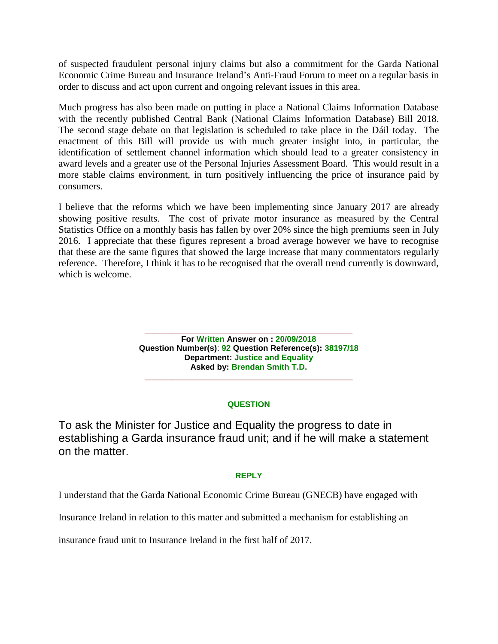of suspected fraudulent personal injury claims but also a commitment for the Garda National Economic Crime Bureau and Insurance Ireland's Anti-Fraud Forum to meet on a regular basis in order to discuss and act upon current and ongoing relevant issues in this area.

Much progress has also been made on putting in place a National Claims Information Database with the recently published Central Bank (National Claims Information Database) Bill 2018. The second stage debate on that legislation is scheduled to take place in the Dáil today. The enactment of this Bill will provide us with much greater insight into, in particular, the identification of settlement channel information which should lead to a greater consistency in award levels and a greater use of the Personal Injuries Assessment Board. This would result in a more stable claims environment, in turn positively influencing the price of insurance paid by consumers.

I believe that the reforms which we have been implementing since January 2017 are already showing positive results. The cost of private motor insurance as measured by the Central Statistics Office on a monthly basis has fallen by over 20% since the high premiums seen in July 2016. I appreciate that these figures represent a broad average however we have to recognise that these are the same figures that showed the large increase that many commentators regularly reference. Therefore, I think it has to be recognised that the overall trend currently is downward, which is welcome.

> **\_\_\_\_\_\_\_\_\_\_\_\_\_\_\_\_\_\_\_\_\_\_\_\_\_\_\_\_\_\_\_\_\_\_\_\_\_\_\_\_\_\_\_\_\_\_ For Written Answer on : 20/09/2018 Question Number(s)**: **92 Question Reference(s): 38197/18 Department: Justice and Equality Asked by: Brendan Smith T.D.**

# **QUESTION**

**\_\_\_\_\_\_\_\_\_\_\_\_\_\_\_\_\_\_\_\_\_\_\_\_\_\_\_\_\_\_\_\_\_\_\_\_\_\_\_\_\_\_\_\_\_\_**

To ask the Minister for Justice and Equality the progress to date in establishing a Garda insurance fraud unit; and if he will make a statement on the matter.

# **REPLY**

I understand that the Garda National Economic Crime Bureau (GNECB) have engaged with

Insurance Ireland in relation to this matter and submitted a mechanism for establishing an

insurance fraud unit to Insurance Ireland in the first half of 2017.